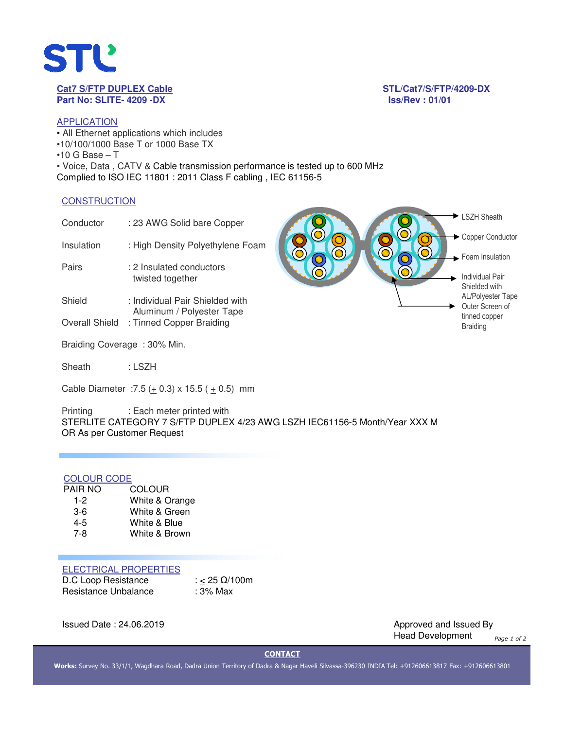

## APPLICATION

• All Ethernet applications which includes •10/100/1000 Base T or 1000 Base TX  $•10$  G Base  $-$  T • Voice, Data , CATV & Cable transmission performance is tested up to 600 MHz Complied to ISO IEC 11801 : 2011 Class F cabling , IEC 61156-5

### **CONSTRUCTION**

| Conductor  | : 23 AWG Solid bare Copper                                   |  |
|------------|--------------------------------------------------------------|--|
| Insulation | : High Density Polyethylene Foam                             |  |
| Pairs      | : 2 Insulated conductors<br>twisted together                 |  |
| Shield     | : Individual Pair Shielded with<br>Aluminum / Polyester Tape |  |

Overall Shield : Tinned Copper Braiding

Braiding Coverage : 30% Min.

Sheath : LSZH

Cable Diameter : 7.5  $(+ 0.3)$  x 15.5  $(+ 0.5)$  mm

Printing : Each meter printed with STERLITE CATEGORY 7 S/FTP DUPLEX 4/23 AWG LSZH IEC61156-5 Month/Year XXX M OR As per Customer Request

# COLOUR CODE

| PAIR NO | COLOUR         |
|---------|----------------|
| 1-2     | White & Orange |
| $3-6$   | White & Green  |
| $4 - 5$ | White & Blue   |
| 7-8     | White & Brown  |
|         |                |

## ELECTRICAL PROPERTIES

| D.C Loop Resistance  | : < 25 $\Omega/100$ m |
|----------------------|-----------------------|
| Resistance Unbalance | : 3% Max              |



Issued Date : 24.06.2019 Approved and Issued By Head Development *Page 1 of 2*

**CONTACT**

**Works:** Survey No. 33/1/1, Wagdhara Road, Dadra Union Territory of Dadra & Nagar Haveli Silvassa-396230 INDIA Tel: +912606613817 Fax: +912606613801